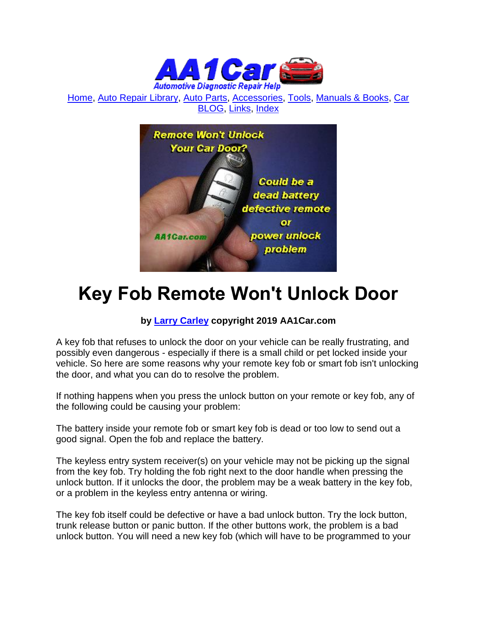

[Home,](http://www.aa1car.com/) [Auto Repair Library,](http://www.aa1car.com/library.htm) [Auto Parts,](http://www.aa1car.com/links_parts.htm) [Accessories,](http://www.aa1car.com/links_accessories.htm) [Tools,](http://www.aa1car.com/links_tools.htm) [Manuals & Books,](http://www.aa1car.com/links_books.htm) [Car](http://www.aa1car.com/blog/blog.htm)  [BLOG,](http://www.aa1car.com/blog/blog.htm) [Links,](http://www.aa1car.com/links.htm) [Index](http://www.aa1car.com/index_alphabetical.htm)



# **Key Fob Remote Won't Unlock Door**

### **by [Larry Carley](https://www.aa1car.com/larrypage/larrycarley_photos.htm) copyright 2019 AA1Car.com**

A key fob that refuses to unlock the door on your vehicle can be really frustrating, and possibly even dangerous - especially if there is a small child or pet locked inside your vehicle. So here are some reasons why your remote key fob or smart fob isn't unlocking the door, and what you can do to resolve the problem.

If nothing happens when you press the unlock button on your remote or key fob, any of the following could be causing your problem:

The battery inside your remote fob or smart key fob is dead or too low to send out a good signal. Open the fob and replace the battery.

The keyless entry system receiver(s) on your vehicle may not be picking up the signal from the key fob. Try holding the fob right next to the door handle when pressing the unlock button. If it unlocks the door, the problem may be a weak battery in the key fob, or a problem in the keyless entry antenna or wiring.

The key fob itself could be defective or have a bad unlock button. Try the lock button, trunk release button or panic button. If the other buttons work, the problem is a bad unlock button. You will need a new key fob (which will have to be programmed to your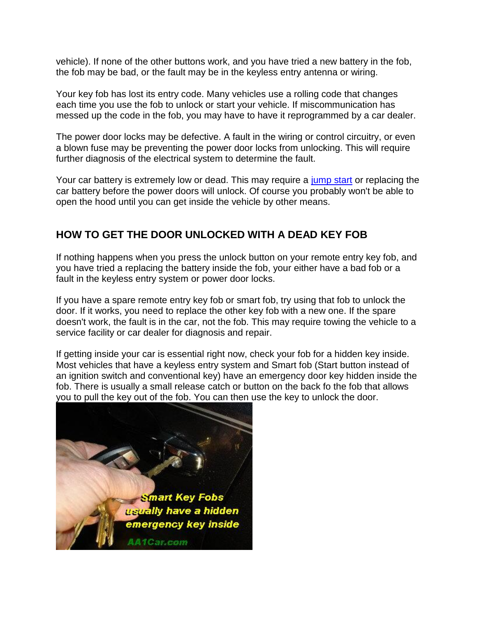vehicle). If none of the other buttons work, and you have tried a new battery in the fob, the fob may be bad, or the fault may be in the keyless entry antenna or wiring.

Your key fob has lost its entry code. Many vehicles use a rolling code that changes each time you use the fob to unlock or start your vehicle. If miscommunication has messed up the code in the fob, you may have to have it reprogrammed by a car dealer.

The power door locks may be defective. A fault in the wiring or control circuitry, or even a blown fuse may be preventing the power door locks from unlocking. This will require further diagnosis of the electrical system to determine the fault.

Your car battery is extremely low or dead. This may require a [jump start](http://www.aa1car.com/library/battery_safety.htm) or replacing the car battery before the power doors will unlock. Of course you probably won't be able to open the hood until you can get inside the vehicle by other means.

## **HOW TO GET THE DOOR UNLOCKED WITH A DEAD KEY FOB**

If nothing happens when you press the unlock button on your remote entry key fob, and you have tried a replacing the battery inside the fob, your either have a bad fob or a fault in the keyless entry system or power door locks.

If you have a spare remote entry key fob or smart fob, try using that fob to unlock the door. If it works, you need to replace the other key fob with a new one. If the spare doesn't work, the fault is in the car, not the fob. This may require towing the vehicle to a service facility or car dealer for diagnosis and repair.

If getting inside your car is essential right now, check your fob for a hidden key inside. Most vehicles that have a keyless entry system and Smart fob (Start button instead of an ignition switch and conventional key) have an emergency door key hidden inside the fob. There is usually a small release catch or button on the back fo the fob that allows you to pull the key out of the fob. You can then use the key to unlock the door.